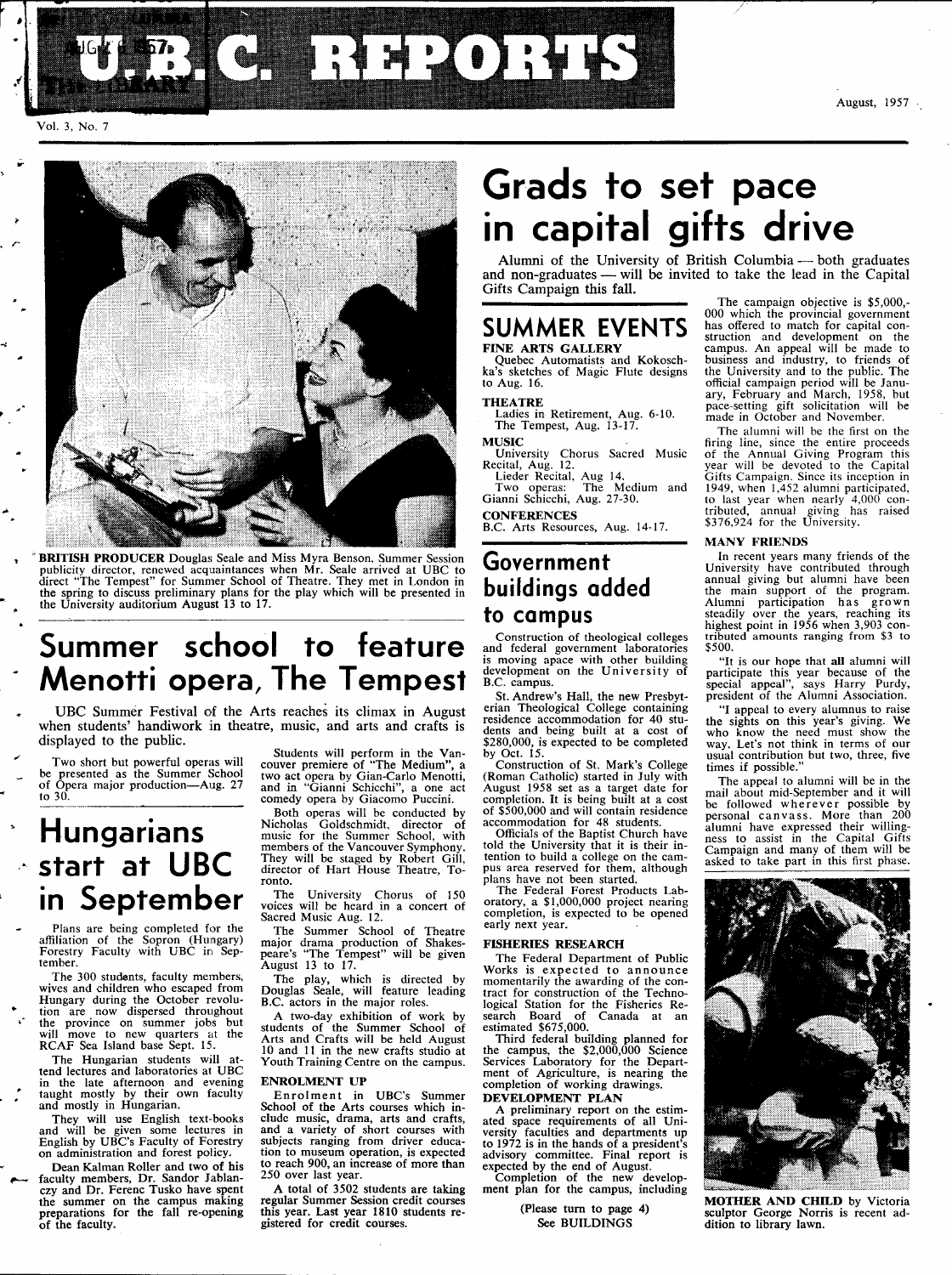

#### August, 1957

Vol. 3, No. 7



' **BRITISH PRODUCER** Douglas Seale and Miss Myra Benson, Summer Session publicity director, renewed acquaintances when Mr. Seale arrived at UBC to direct "The Tempest" for Summer School of Theatre. They met in London in the spring to discuss preliminary plans for the play which will be present

## **Summer school to feature Menotti opera, The Tempest**

UBC Summer Festival of the Arts reaches its climax in August when students' handiwork in theatre, music, and arts and crafts is displayed to the public.

Two short but powerful operas will be presented as the Summer School of Opera major production—Aug. 27 to 30.

## **Hungarians start at UBC in September**

Plans are being completed for the affiliation of the Sopron (Hungary) Forestry Faculty with UBC in September.

The 300 students, faculty members, wives and children who escaped from Hungary during the October revolu-tion are now dispersed throughout the province on summer jobs but will move to new quarters at the RCAF Sea Island base Sept. 15.

The Hungarian students will attend lectures and laboratories at UBC in the late afternoon and evening taught mostly by their own faculty and mostly in Hungarian.

They will use English text-books and will be given some lectures in English by UBC's Faculty of Forestry on administration and forest policy.

Dean Kalman Roller and two of his faculty members, Dr. Sandor Jablan-czy and Dr. Ferenc Tusko have spent the summer on the campus making preparations for the fall re-opening of the faculty.

Students will perform in the Van-couver premiere of 'Th e Medium", a two act opera by Gian-Carlo Menotti, and in "Gianni Schicchi", a one act comedy opera by Giacomo Puccini.

Both operas will be conducted by Nicholas Goldschmidt, director of music for the Summer School, with members of the Vancouver Symphony. They will be staged by Robert Gill, director of Hart House Theatre, Toronto.

The University Chorus of 150 voices will be heard in a concert of Sacred Music Aug. 12.

The Summer School of Theatre major drama production of Shakes-peare's "The Tempest" will be given August 13 to 17.

The play, which is directed by Douglas Seale, will feature leading B.C. actors in the major roles.

A two-day exhibition of work by students of the Summer School of Arts and Crafts will be held August 10 and 11 in the new crafts studio at Youth Training Centre on the campus.

#### **ENROLMENT** UP

Enrolment in UBC's Summer<br>School of the Arts courses which include music, drama, arts and crafts, and a variety of short courses with subjects ranging from driver education to museum operation, is expected to reach 900, an increase of more than 250 over last year.

A total of 3502 students are taking regular Summer Session credit courses this year. Last year 1810 students registered for credit courses.

## **Grads to set pace in capital gifts drive**

Alumni of the University of British Columbia — both graduates and non-graduates — will be invited to take the lead in the Capital Gifts Campaign this fall.

### **SUMMER EVENTS FINE ARTS GALLERY**

Quebec Automatists and Kokosch-ka's sketches of Magic Flute designs to Aug. 16.

### **THEATRE**

Ladies in Retirement, Aug. 6-10. The Tempest, Aug.  $13-17$ .

**MUSIC** 

University Chorus Sacred Music Recital, Aug. 12.

Lieder Recital, Aug 14. Two operas: The Medium and Gianni Schicchi, Aug. 27-30.

**CONFERENCES**  B.C. Arts Resources, Aug. 14-17.

### **Government buildings added to campus**

Construction of theological colleges and federal government laboratories is moving apace with other building development on the University of B.C. campus.

St. Andrew's Hall, the new Presbyt-erian Theological College containing residence accommodation for 40 students and being built at a cost of \$280,000, is expected to be completed by Oct. 15.

Construction of St. Mark's College (Roman Catholic) started in July with August 1958 set as a target date for completion. It is being built at a cost of \$500,000 and will contain residence accommodation for 48 students.

Officials of the Baptist Church have told the University that it is their intention to build a college on the campus area reserved for them, although plans have not been started.

The Federal Forest Products Lab-oratory, a \$1,000,000 project nearing completion, is expected to be opened early next year.

#### **FISHERIES RESEARCH**

The Federal Department of Public Works is expected to announce<br>momentarily the awarding of the contract for construction of the Techno-<br>logical Station for the Fisheries Re-<br>search Board of Canada at an<br>estimated \$675,000.

Third federal building planned for the campus, the \$2,000,000 Science Schoratory for the Depart-<br>ment of Agriculture, is nearing the completion of working drawings. **DEVELOPMENT PLAN** 

A preliminary report on the estimated space requirements of all University faculties and departments up to 1972 is in the hands of a president's advisory committee. Final report is expected by the end of August.

Completion of the new develop-ment plan for the campus, including

(Please turn to page 4) See BUILDINGS

The campaign objective is \$5,000,- 000 which the provincial government has offered to match for capital con-struction and development on the campus. An appeal will be made to business and industry, to friends of the University and to the public. The official campaign period will be Janu-ary, February and March, 1958, but pace-setting gift solicitation will be made in October and November.

The alumni will be the first on the firing line, since the entire proceeds of the Annual Giving Program this year will be devoted to the Capital Gifts Campaign. Since its inception in 1949, when 1,452 alumni participated, tributed, annual giving has raised filluled, annual giving has raised

#### MANY FRIENDS

In recent years many friends of the<br>University have contributed through<br>annual giving but alumni have been<br>the main support of the program.<br>Alumni participation has grown<br>steadily over the years, reaching its<br>highest point tributed amounts ranging from \$3 to \$500.

"It is our hope that **all** alumni will participate this year because of the special appeal", says Harry Purdy, president of the Alumni Association.

"I appeal to every alumnus to raise the sights on this year's giving. We who know the need must show the way. Let's not think in terms of our usual contribution but two, three, five times if possible."

The appeal to alumni will be in the mail about mid-September and it will be followed wherever possible by personal canvass. More than 200 alumni have expressed their willingness to assist in the Capital Gifts Campaign and many of them will be asked to take part in this first phase.



**MOTHER AND CHILD** by Victoria sculptor George Norris is recent addition to library lawn.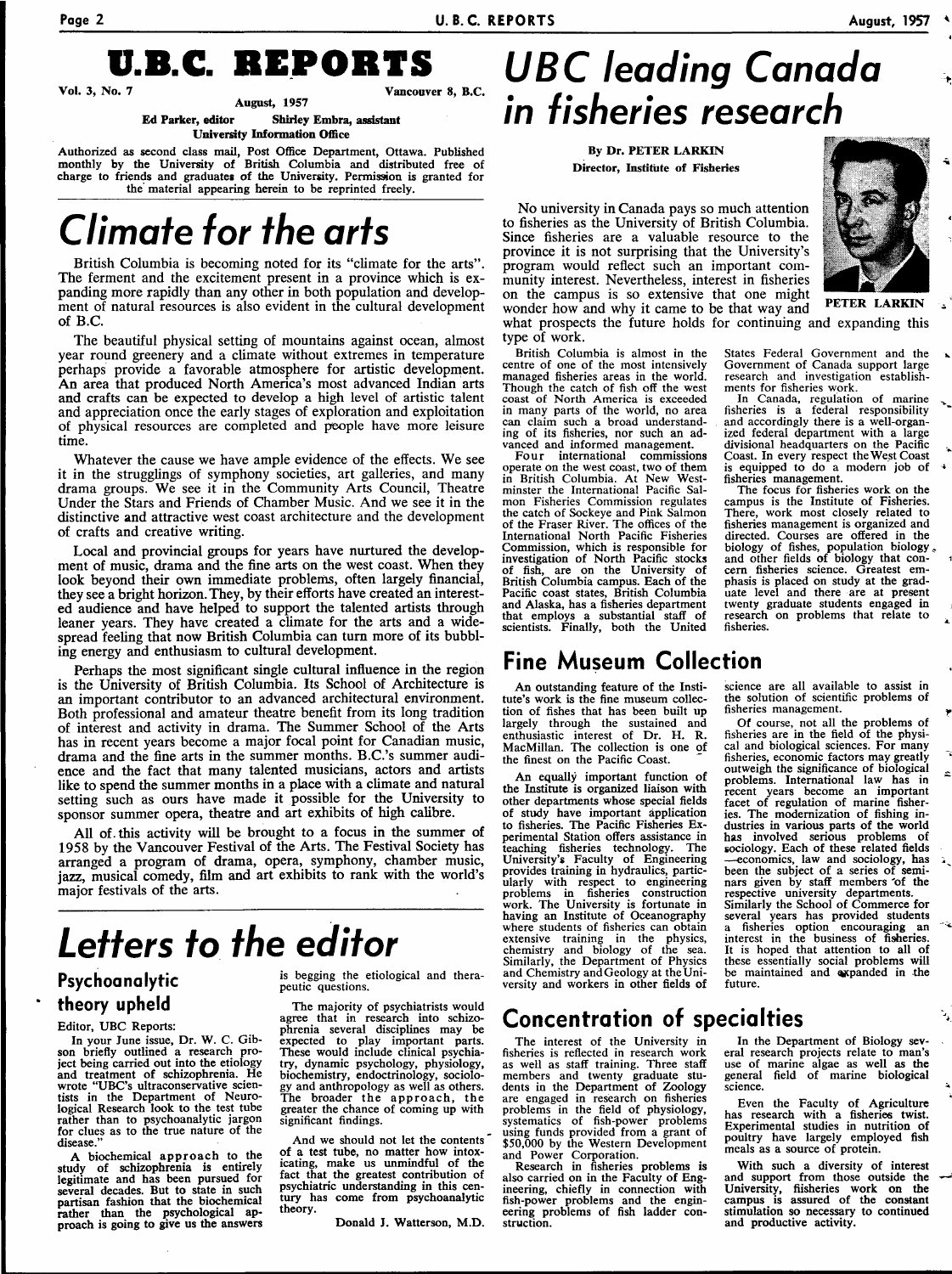**Page 2 U.B.C. REPORTS August, 1957** 



**Vol.** 3, No

August, 1957

**Ed Parker, editor Shirley Embra, assistant University Information** Office

Authorized as second class mail, Post Office Department, Ottawa. Published monthly by the University of British Columbia and distributed free of charge to friends and graduates of the University. Permission is granted for the material appearing herein to be reprinted freely.

## **Climate for the arts**

British Columbia is becoming noted for its "climate for the arts". The ferment and the excitement present in a province which is expanding more rapidly than any other in both population and development of natural resources is also evident in the cultural development of B.C.

The beautiful physical setting of mountains against ocean, almost year round greenery and a climate without extremes in temperature perhaps provide a favorable atmosphere for artistic development. An area that produced North America's most advanced Indian arts and crafts can be expected to develop a high level of artistic talent and appreciation once the early stages of exploration and exploitation of physical resources are completed and people have more leisure time.

Whatever the cause we have ample evidence of the effects. We see it in the stragglings of symphony societies, art galleries, and many drama groups. We see it in the Community Arts Council, Theatre Under the Stars and Friends of Chamber Music. And we see it in the distinctive and attractive west coast architecture and the development of crafts and creative writing.

Local and provincial groups for years have nurtured the development of music, drama and the fine arts on the west coast. When they look beyond their own immediate problems, often largely financial, they see a bright horizon. They, by their efforts have created an interested audience and have helped to support the talented artists through leaner years. They have created a climate for the arts and a widespread feeling that now British Columbia can turn more of its bubbling energy and enthusiasm to cultural development.

Perhaps the most significant single cultural influence in the region is the University of British Columbia. Its School of Architecture is an important contributor to an advanced architectural environment. Both professional and amateur theatre benefit from its long tradition of interest and activity in drama. The Summer School of the Arts has in recent years become a major focal point for Canadian music, drama and the fine arts in the summer months. B.C.'s summer audience and the fact that many talented musicians, actors and artists like to spend the summer months in a place with a climate and natural setting such as ours have made it possible for the University to sponsor summer opera, theatre and art exhibits of high calibre.

All of. this activity will be brought to a focus in the summer of 1958 by the Vancouver Festival of the Arts. The Festival Society has arranged a program of drama, opera, symphony, chamber music, jazz, musical comedy, film and art exhibits to rank with the world's major festivals of the arts.

## **Letters to the editor**

### **Psychoanalytic theory upheld**

### Editor, UBC Reports:

In your lune issue, Dr. W. C. Gibson briefly outlined a research project being carried out into the etiology and treatment of schizophrenia. He wrote "UBC's ultraconservative scien-tists in the Department of Neurological Research look to the test tube rather than to psychoanalytic jargon for clues as to the true nature of the disease.

A biochemical approach to the study of schizophrenia is entirely legitimate and has been pursued for several decades. But to state in such partisan fashion that the biochemical rather than the psychological ap-proach is going to give us the answers is begging the etiological and therapeutic questions.

The majority of psychiatrists would agree that in research into schizo-phrenia several disciplines may be expected to play important parts. These would include clinical psychiatry, dynamic psychology, physiology, biochemistry, endoctrinology, sociology and anthropology as well as others. The broader the approach, the greater the chance of coming up with significant findings.

And we should not let the contents of a test tube, no matter how intoxicating, make us unmindful of the fact that the greatest contribution of psychiatric understanding in this century has come from psychoanalytic theory.

Donald J. Watterson, M.D.

## **UBC leading Canada in fisheries research**

### By **Dr.** PETER LARKIN Director, Institute of Fisheries

No university in Canada pays so much attention to fisheries as the University of British Columbia. Since fisheries are a valuable resource to the province it is not surprising that the University's program would reflect such an important community interest. Nevertheless, interest in fisheries on the campus is so extensive that one might wonder how and why it came to be that way and what prospects the future holds for continuing and expanding this type of work.

British Columbia is almost in the centre of one of the most intensively managed fisheries areas in the world. Though the catch of fish off the west coast of North America is exceeded in many parts of the world, no area can claim such a broad understanding of its fisheries, nor such an advanced and informed management.

Four international commissions operate on the west coast, two of them in British Columbia. At New West-minster the International Pacific Salmon Fisheries Commission regulates the catch of Sockeye and Pink Salmon of the Fraser River. The offices of the International North Pacific Fisheries Commission, which is responsible for investigation of North Pacific stocks of fish, are on the University of British Columbia campus. Each of the Pacific coast states, British Columbia and Alaska, has a fisheries department that employs a substantial staff of scientists. Finally, both the United

### **Fine Museum Collection**

An outstanding feature of the Institute's work is the fine museum collection of fishes that has been built up largely through the sustained and enthusiastic interest of Dr. H. R. MacMillan. The collection is one of the finest on the Pacific Coast.

An equally important function of the Institute is organized liaison with other departments whose special fields of study have important application to fisheries. The Pacific Fisheries Experimental Station offers assistance in teaching fisheries technology. The University's Faculty of Engineering provides training in hydraulics, particprovides training in hydramics, particularly with respect to engineering<br>problems in fisheries construction<br>work. The University is fortunate in<br>having an Institute of Oceanography where students of fisheries can obtain extensive training in the physics, chemistry and biology of the sea. Similarly, the Department of Physics and Chemistry and Geology at the University and workers in other fields of

### **Concentration of specialties**

The interest of the University in fisheries is reflected in research work as well as staff training. Three staff members and twenty graduate students in the Department of Zoology are engaged in research on fisheries problems in the field of physiology, systematics of fish-power problems using funds provided from a grant of \$50,000 by the Western Development and Power Corporation.

Research in fisheries problems is also carried on in the Faculty of Engineering, chiefly in connection with fish-power problems and the engin-eering problems of fish ladder construction.



PETER **LARKIN** 

States Federal Government and the Government of Canada support large research and investigation establish-<br>ments for fisheries work.

In Canada, regulation of marine fisheries is a federal responsibility and accordingly there is a well-organized federal department with a large divisional headquarters on the Pacific Coast. In every respect the West Coast is equipped to do a modern job of

fisheries management. The focus for fisheries work on the campus is the Institute of Fisheries. There, work most closely related to fisheries management is organized and directed. Courses are offered in the biology of fishes, population biology, and other fields of biology that concern fisheries science. Greatest emphasis is placed on study at the graduate level and there are at present twenty graduate students engaged in research on problems that relate to fisheries.

science are all available to assist in the solution of scientific problems of fisheries management.

Of course, not all the problems of fisheries are in the field of the physi-cal and biological sciences. For many fisheries, economic factors may greatly outweigh the significance of biological problems. International law has in recent years become an important facet of regulation of marine fisheries. The modernization of fishing in-dustries in various parts of the world has involved serious problems of sociology. Each of these related fields —economics, law and sociology, has been the subject of a series of semi-nars given by staff members 'of the respective university departments. Similarly the School of Commerce for several years has provided students a fisheries option encouraging an interest in the business of fisheries. It is hoped that attention to all of these essentially social problems will be maintained and expanded in the future.

In the Department of Biology several research projects relate to man's use of marine algae as well as the general field of marine biological science.

Even the Faculty of Agriculture has research with a fisheries twist. Experimental studies in nutrition of poultry have largely employed fish meals as a source of protein.

With such a diversity of interest and support from those outside the University, fiisheries work on the campus is assured of the constant stimulation so necessary to continued and productive activity.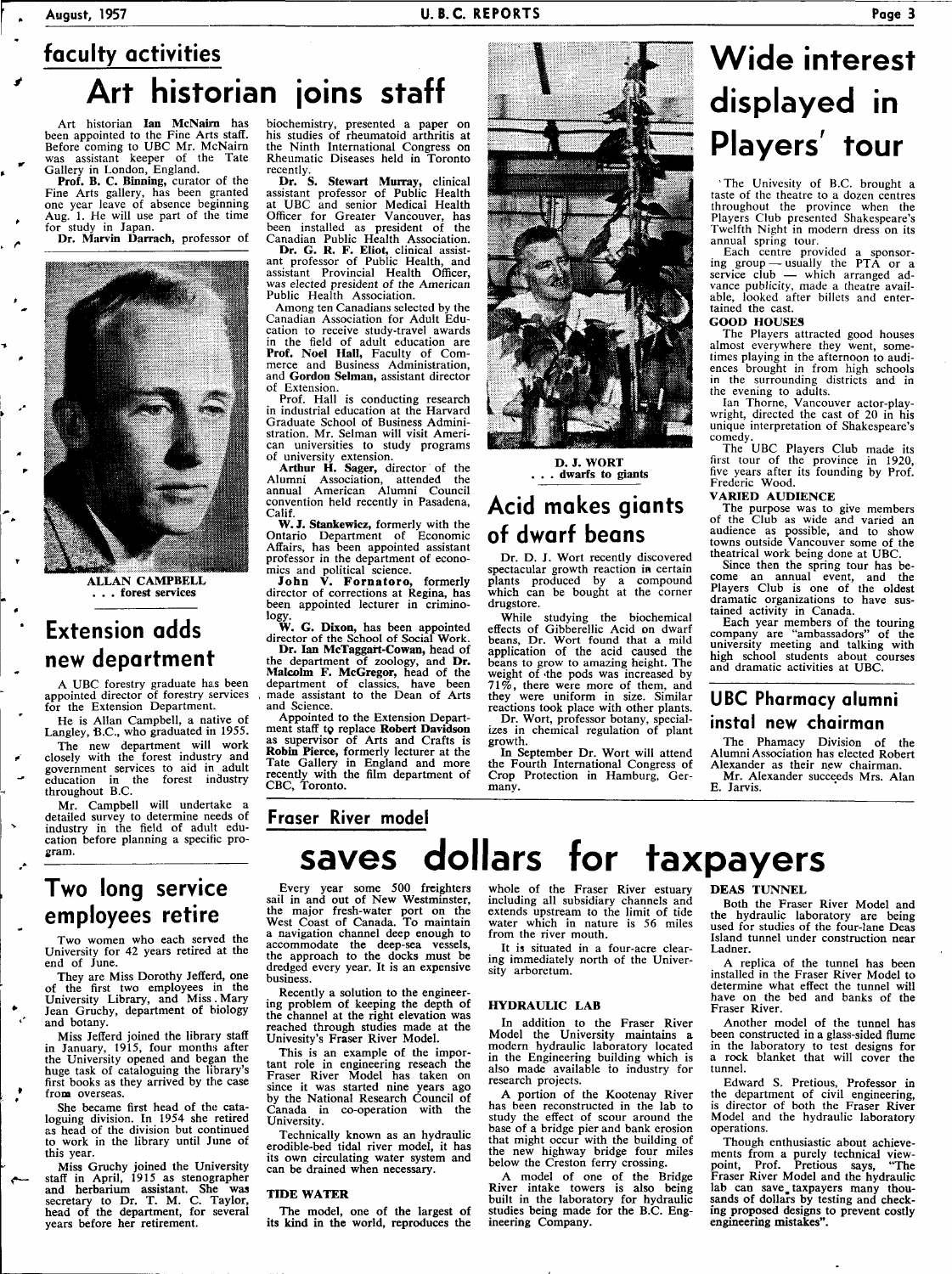## **faculty activities Art historian joins staff**

Art historian **Ian McNairn** has<br>been appointed to the Fine Arts staff.<br>Before coming to UBC Mr. McNairn<br>was assistant keeper of the Tate<br>Gallery in London, England.

**Prof. B. C. Binning**, curator of the Fine Arts gallery, has been granted one year leave of absence beginning Aug. 1. He will use part of the time for study in Japan.

**Dr. Marvin Darrach,** professor of



**ALLAN CAMPBELL . . . forest services** 

### **Extension adds new department**

A UBC forestry graduate has been appointed director of forestry services for the Extension Department.

He is Allan Campbell, a native of Langley, B.C., who graduated in 1955.

The new department will work closely with the forest industry and government services to aid in adult education in the forest industry throughout B.C.

Mr. Campbell will undertake a detailed survey to determine needs of industry in the field of adult education before planning a specific program.

### **Two long service employees retire**

Two women who each served the University for 42 years retired at the end of June.

They are Miss Dorothy Jefferd, one of the first two employees in the University Library, and Miss . Mary Jean Gruchy, department of biology and botany.

Miss Jefferd joined the library staff in January, 1915, four months after the University opened and began the huge task of cataloguing the library's first books as they arrived by the case from overseas.

She became first head of the cata-loguing division. In 1954 she retired as head of the division but continued to work in the library until June of this year.

Miss Gruchy joined the University staff in April, 1915 as stenographer and herbarium assistant. She **was**  secretary to Dr. T. M. C. Taylor, head of the department, for several years before her retirement.

biochemistry, presented a paper on his studies of rheumatoid arthritis at the Ninth International Congress on Rheumatic Diseases held in Toronto recently.

**Dr. S. Stewart Murray,** clinical assistant professor of Public Health AOHC and senior Medical Health Officer for Greater Vancouver, has been installed as president of the Canadian Public Health Association.

**Dr. G. R. F. Eliot,** clinical assistant professor of Public Health, and assistant Provincial Health Officer, was elected president of the American Public Health Association.

Among ten Canadians selected by the Canadian Association for Adult Education to receive study-travel awards in the field of adult education are **Prof. Noel Hall,** Faculty of Commerce and Business Administration, and **Gordon Selman,** assistant director of Extension.

Prof. Hall is conducting research in industrial education at the Harvard Graduate School of Business Administration. Mr. Selman will visit American universities to study programs of university extension.

Arthur H. Sager, director of the Alumni Association, attended the annual American Alumni Council convention held recently in Pasadena, Calif.

**W. J. Stankewicz,** formerly with the Ontario Department of Economic Affairs, has been appointed assistant professor in the department of economics and political science.

**John V. Fornatoro,** formerly director of corrections at Regina, has been appointed lecturer in criminology.

**W. G. Dixon,** has been appointed director of the School of Social Work. **Dr. Ian McTaggart-Cowan,** head of the department of zoology, and **Dr. Malcolm F. McGregor,** head of the department of classics, have been made assistant to the Dean of Arts and Science.

Appointed to the Extension Depart-ment staff to replace **Robert Davidson**  as supervisor of Arts and Crafts is **Robin Pierce,** formerly lecturer at the Tate Gallery in England and more recently with the film department of CBC, Toronto.



**D. J. WORT . . . dwarfs to giants** 

### **Acid makes giants of dwarf beans**

Dr. **D. J.** Wort recently discovered spectacular growth reaction in certain plants produced by a compound which can be bought at the corner drugstore.

While studying the biochemical effects of Gibberellic Acid on dwarf beans, Dr. Wort found that a mild application of the acid caused the beans to grow to amazing height. The weight of the pods was increased by 71%, there were more of them, and they were uniform in size. Similar reactions took place with other plants. Dr. Wort, professor botany, special-

izes in chemical regulation of plant growth.

**In** September Dr. Wort will attend the Fourth International Congress of Crop Protection in Hamburg, Germany.

## **Wide interest displayed in Players' tour**

' The Univesity of B.C. brought a taste of the theatre to a dozen centres throughout the province when the Players Club presented Shakespeare's Twelfth Night in modern dress on its annual spring tour.

Each centre provided a sponsoring group — usually the PTA or a service club — which arranged advance publicity, made a theatre available, looked after billets and entertained the cast.

#### **GOOD HOUSES**

The Players attracted good houses almost everywhere they went, sometimes playing in the afternoon to audiences brought in from high schools in the surrounding districts and in the evening to adults.

Ian Thorne, Vancouver actor-play-wright, directed the cast of 20 in his unique interpretation of Shakespeare's comedy.

The UBC Players Club made its first tour of the province in 1920, five years after its founding by Prof. Frederic Wood.

### **VARIED AUDIENCE**

The purpose was to give members of the Club as wide and varied an audience as possible, and to show towns outside Vancouver some of the theatrical work being done at UBC.

Since then the spring tour has become an annual event, and the Players Club is one of the oldest dramatic organizations to have sustained activity in Canada.

Each year members of the touring company are "ambassadors" of the university meeting and talking with high school students about courses and dramatic activities at UBC.

### **UBC Pharmacy alumni instal new chairman**

The Phamacy Division of the Alumni Association has elected Robert Alexander as their new chairman. Mr. Alexander succeeds Mrs. Alan E. Jarvis.

**Fraser River model** 

# **saves dollars for taxpayers**

Every year some 500 freighters sail in and out of New Westminster, the major fresh-water port on the West Coast of Canada. To maintain a navigation channel deep enough to accommodate the deep-sea vessels, the approach to the docks must be dredged every year. It is an expensive business.

Recently a solution **to** the engineer-ing problem of keeping the depth of the channel at the right elevation was reached through studies made at the Univesity's Fraser River Model.

This is an example of the important role in engineering reseach the Fraser River Model has taken on since it was started nine years ago by the National Research Council of Canada in co-operation with the University.

Technically known as an hydraulic erodible-bed tidal river model, it has its own circulating water system and can be drained when necessary.

#### **TIDE WATER**

The model, one of **the** largest of **its kind** in **the** world, reproduces the whole of the Fraser River estuary including all subsidiary channels and extends upstream to the limit of tide water which in nature is 56 miles from the river mouth.

It is situated in a four-acre clearing immediately north of the University arboretum.

#### **HYDRAULIC LAB**

In addition to the Fraser River Model the University maintains **a**  modern hydraulic laboratory located in the Engineering building which is also made available to industry for research projects.

A portion of the Kootenay River has been reconstructed in the lab to study the effect of scour around the base of a bridge pier and bank erosion that might occur with the building of the new highway bridge four miles below the Creston ferry crossing.

A model of one of the Bridge River intake towers is also being built in the laboratory for hydraulic studies being made for the B.C. Engineering Company.

#### **DEAS TUNNEL**

Both the Fraser River Model and the hydraulic laboratory are being used for studies of the four-lane Deas Island tunnel under construction near Ladner.

A replica of the tunnel has been installed in the Fraser River Model to determine what effect the tunnel will have on the bed and banks of the Fraser River.

Another model of the tunnel has been constructed in a glass-sided flume in the laboratory to test designs for a rock blanket that will cover the tunnel.

Edward S. Pretious, Professor in the department of civil engineering, is director of both the Fraser River Model and the hydraulic laboratory operations.

Though enthusiastic about achievements from a purely technical view-point, Prof. Pretious says, "The Fraser River Model and the hydraulic lab can save, taxpayers many thou-sands of dollars by testing and checking proposed designs to prevent costly engineering **mistakes".**